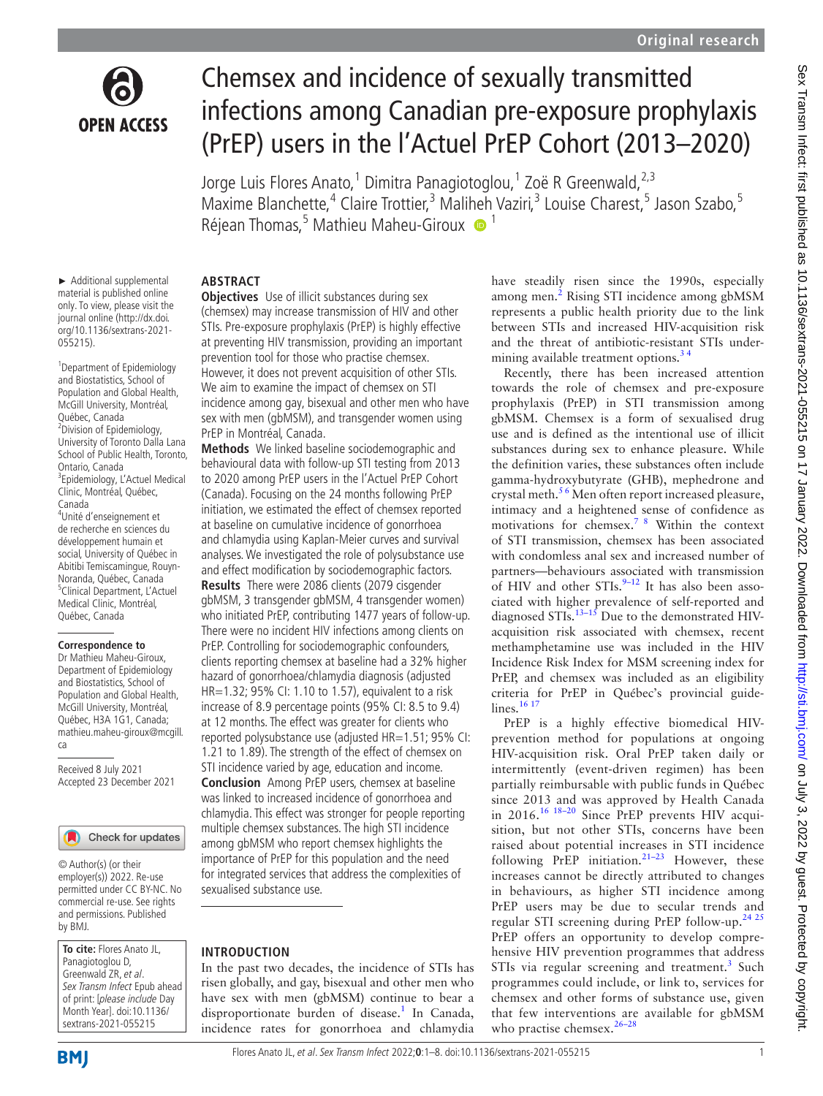

# Chemsex and incidence of sexually transmitted infections among Canadian pre-exposure prophylaxis (PrEP) users in the l'Actuel PrEP Cohort (2013–2020)

Jorge Luis Flores Anato,<sup>1</sup> Dimitra Panagiotoglou,<sup>1</sup> Zoë R Greenwald,<sup>2,3</sup> Maxime Blanchette,<sup>4</sup> Claire Trottier,<sup>3</sup> Maliheh Vaziri,<sup>3</sup> Louise Charest,<sup>5</sup> Jason Szabo,<sup>5</sup> Réjean Thomas,<sup>5</sup> Mathieu Maheu-Giroux <sup>1</sup>

► Additional supplemental material is published online only. To view, please visit the journal online ([http://dx.doi.](http://dx.doi.org/10.1136/sextrans-2021-055215) [org/10.1136/sextrans-2021-](http://dx.doi.org/10.1136/sextrans-2021-055215) [055215](http://dx.doi.org/10.1136/sextrans-2021-055215)).

1 Department of Epidemiology and Biostatistics, School of Population and Global Health, McGill University, Montréal, Québec, Canada 2 Division of Epidemiology, University of Toronto Dalla Lana School of Public Health, Toronto, Ontario, Canada 3 Epidemiology, L'Actuel Medical Clinic, Montréal, Québec, Canada 4 Unité d'enseignement et de recherche en sciences du développement humain et social, University of Québec in Abitibi Temiscamingue, Rouyn-Noranda, Québec, Canada <sup>5</sup> <sup>5</sup>Clinical Department, L'Actuel Medical Clinic, Montréal, Québec, Canada

### **Correspondence to**

Dr Mathieu Maheu-Giroux, Department of Epidemiology and Biostatistics, School of Population and Global Health, McGill University, Montréal, Québec, H3A 1G1, Canada; mathieu.maheu-giroux@mcgill. ca

Received 8 July 2021 Accepted 23 December 2021

### Check for updates

© Author(s) (or their employer(s)) 2022. Re-use permitted under CC BY-NC. No commercial re-use. See rights and permissions. Published by BMJ.

**To cite:** Flores Anato JL, Panagiotoglou D, Greenwald ZR, et al. Sex Transm Infect Epub ahead of print: [please include Day Month Year]. doi:10.1136/ sextrans-2021-055215

### **ABSTRACT**

**Objectives** Use of illicit substances during sex (chemsex) may increase transmission of HIV and other STIs. Pre-exposure prophylaxis (PrEP) is highly effective at preventing HIV transmission, providing an important prevention tool for those who practise chemsex. However, it does not prevent acquisition of other STIs. We aim to examine the impact of chemsex on STI incidence among gay, bisexual and other men who have sex with men (gbMSM), and transgender women using PrEP in Montréal, Canada.

**Methods** We linked baseline sociodemographic and behavioural data with follow-up STI testing from 2013 to 2020 among PrEP users in the l'Actuel PrEP Cohort (Canada). Focusing on the 24 months following PrEP initiation, we estimated the effect of chemsex reported at baseline on cumulative incidence of gonorrhoea and chlamydia using Kaplan-Meier curves and survival analyses. We investigated the role of polysubstance use and effect modification by sociodemographic factors.

**Results** There were 2086 clients (2079 cisgender gbMSM, 3 transgender gbMSM, 4 transgender women) who initiated PrEP, contributing 1477 years of follow-up. There were no incident HIV infections among clients on PrEP. Controlling for sociodemographic confounders, clients reporting chemsex at baseline had a 32% higher hazard of gonorrhoea/chlamydia diagnosis (adjusted HR=1.32; 95% CI: 1.10 to 1.57), equivalent to a risk increase of 8.9 percentage points (95% CI: 8.5 to 9.4) at 12 months. The effect was greater for clients who reported polysubstance use (adjusted HR=1.51; 95% CI: 1.21 to 1.89). The strength of the effect of chemsex on STI incidence varied by age, education and income. **Conclusion** Among PrEP users, chemsex at baseline

was linked to increased incidence of gonorrhoea and chlamydia. This effect was stronger for people reporting multiple chemsex substances. The high STI incidence among gbMSM who report chemsex highlights the importance of PrEP for this population and the need for integrated services that address the complexities of sexualised substance use.

### **INTRODUCTION**

In the past two decades, the incidence of STIs has risen globally, and gay, bisexual and other men who have sex with men (gbMSM) continue to bear a disproportionate burden of disease.<sup>1</sup> In Canada, incidence rates for gonorrhoea and chlamydia

have steadily risen since the 1990s, especially among men.<sup>[2](#page-6-1)</sup> Rising STI incidence among gbMSM represents a public health priority due to the link between STIs and increased HIV-acquisition risk and the threat of antibiotic-resistant STIs undermining available treatment options. $34$ 

Recently, there has been increased attention towards the role of chemsex and pre-exposure prophylaxis (PrEP) in STI transmission among gbMSM. Chemsex is a form of sexualised drug use and is defined as the intentional use of illicit substances during sex to enhance pleasure. While the definition varies, these substances often include gamma-hydroxybutyrate (GHB), mephedrone and crystal meth.<sup>56</sup> Men often report increased pleasure, intimacy and a heightened sense of confidence as motivations for chemsex[.7 8](#page-6-4) Within the context of STI transmission, chemsex has been associated with condomless anal sex and increased number of partners—behaviours associated with transmission of HIV and other  $STIs.<sup>9-12</sup>$  It has also been associated with higher prevalence of self-reported and diagnosed STIs. $^{13-15}$  Due to the demonstrated HIVacquisition risk associated with chemsex, recent methamphetamine use was included in the HIV Incidence Risk Index for MSM screening index for PrEP, and chemsex was included as an eligibility criteria for PrEP in Québec's provincial guide-lines.<sup>[16 17](#page-6-7)</sup>

PrEP is a highly effective biomedical HIVprevention method for populations at ongoing HIV-acquisition risk. Oral PrEP taken daily or intermittently (event-driven regimen) has been partially reimbursable with public funds in Québec since 2013 and was approved by Health Canada in 2016.[16 18–20](#page-6-7) Since PrEP prevents HIV acquisition, but not other STIs, concerns have been raised about potential increases in STI incidence following PrEP initiation.<sup>21-23</sup> However, these increases cannot be directly attributed to changes in behaviours, as higher STI incidence among PrEP users may be due to secular trends and regular STI screening during PrEP follow-up.[24 25](#page-6-9) PrEP offers an opportunity to develop comprehensive HIV prevention programmes that address STIs via regular screening and treatment.<sup>[3](#page-6-2)</sup> Such programmes could include, or link to, services for chemsex and other forms of substance use, given that few interventions are available for gbMSM who practise chemsex.<sup>26-28</sup>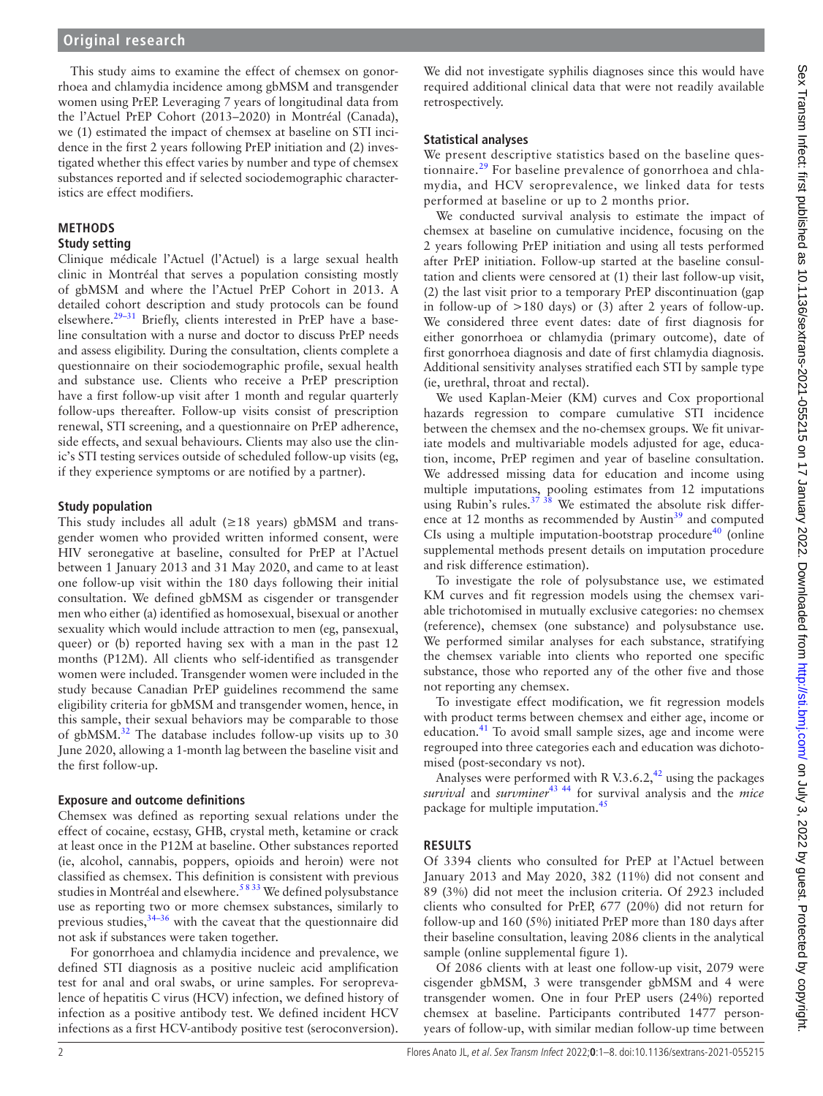This study aims to examine the effect of chemsex on gonorrhoea and chlamydia incidence among gbMSM and transgender women using PrEP. Leveraging 7 years of longitudinal data from the l'Actuel PrEP Cohort (2013–2020) in Montréal (Canada), we (1) estimated the impact of chemsex at baseline on STI incidence in the first 2 years following PrEP initiation and (2) investigated whether this effect varies by number and type of chemsex substances reported and if selected sociodemographic characteristics are effect modifiers.

### **METHODS**

### **Study setting**

Clinique médicale l'Actuel (l'Actuel) is a large sexual health clinic in Montréal that serves a population consisting mostly of gbMSM and where the l'Actuel PrEP Cohort in 2013. A detailed cohort description and study protocols can be found elsewhere[.29–31](#page-6-11) Briefly, clients interested in PrEP have a baseline consultation with a nurse and doctor to discuss PrEP needs and assess eligibility. During the consultation, clients complete a questionnaire on their sociodemographic profile, sexual health and substance use. Clients who receive a PrEP prescription have a first follow-up visit after 1 month and regular quarterly follow-ups thereafter. Follow-up visits consist of prescription renewal, STI screening, and a questionnaire on PrEP adherence, side effects, and sexual behaviours. Clients may also use the clinic's STI testing services outside of scheduled follow-up visits (eg, if they experience symptoms or are notified by a partner).

### **Study population**

This study includes all adult ( $\geq$ 18 years) gbMSM and transgender women who provided written informed consent, were HIV seronegative at baseline, consulted for PrEP at l'Actuel between 1 January 2013 and 31 May 2020, and came to at least one follow-up visit within the 180 days following their initial consultation. We defined gbMSM as cisgender or transgender men who either (a) identified as homosexual, bisexual or another sexuality which would include attraction to men (eg, pansexual, queer) or (b) reported having sex with a man in the past 12 months (P12M). All clients who self-identified as transgender women were included. Transgender women were included in the study because Canadian PrEP guidelines recommend the same eligibility criteria for gbMSM and transgender women, hence, in this sample, their sexual behaviors may be comparable to those of gbMSM.[32](#page-6-12) The database includes follow-up visits up to 30 June 2020, allowing a 1-month lag between the baseline visit and the first follow-up.

### **Exposure and outcome definitions**

Chemsex was defined as reporting sexual relations under the effect of cocaine, ecstasy, GHB, crystal meth, ketamine or crack at least once in the P12M at baseline. Other substances reported (ie, alcohol, cannabis, poppers, opioids and heroin) were not classified as chemsex. This definition is consistent with previous studies in Montréal and elsewhere.<sup>5833</sup> We defined polysubstance use as reporting two or more chemsex substances, similarly to previous studies,  $34-36$  with the caveat that the questionnaire did not ask if substances were taken together.

For gonorrhoea and chlamydia incidence and prevalence, we defined STI diagnosis as a positive nucleic acid amplification test for anal and oral swabs, or urine samples. For seroprevalence of hepatitis C virus (HCV) infection, we defined history of infection as a positive antibody test. We defined incident HCV infections as a first HCV-antibody positive test (seroconversion).

We did not investigate syphilis diagnoses since this would have required additional clinical data that were not readily available retrospectively.

### **Statistical analyses**

We present descriptive statistics based on the baseline questionnaire.<sup>29</sup> For baseline prevalence of gonorrhoea and chlamydia, and HCV seroprevalence, we linked data for tests performed at baseline or up to 2 months prior.

We conducted survival analysis to estimate the impact of chemsex at baseline on cumulative incidence, focusing on the 2 years following PrEP initiation and using all tests performed after PrEP initiation. Follow-up started at the baseline consultation and clients were censored at (1) their last follow-up visit, (2) the last visit prior to a temporary PrEP discontinuation (gap in follow-up of >180 days) or (3) after 2 years of follow-up. We considered three event dates: date of first diagnosis for either gonorrhoea or chlamydia (primary outcome), date of first gonorrhoea diagnosis and date of first chlamydia diagnosis. Additional sensitivity analyses stratified each STI by sample type (ie, urethral, throat and rectal).

We used Kaplan-Meier (KM) curves and Cox proportional hazards regression to compare cumulative STI incidence between the chemsex and the no-chemsex groups. We fit univariate models and multivariable models adjusted for age, education, income, PrEP regimen and year of baseline consultation. We addressed missing data for education and income using multiple imputations, pooling estimates from 12 imputations using Rubin's rules.<sup>37</sup> <sup>38</sup> We estimated the absolute risk differ-ence at 12 months as recommended by Austin<sup>[39](#page-7-1)</sup> and computed CIs using a multiple imputation-bootstrap procedure<sup>[40](#page-7-2)</sup> [\(online](https://dx.doi.org/10.1136/sextrans-2021-055215) [supplemental methods](https://dx.doi.org/10.1136/sextrans-2021-055215) present details on imputation procedure and risk difference estimation).

To investigate the role of polysubstance use, we estimated KM curves and fit regression models using the chemsex variable trichotomised in mutually exclusive categories: no chemsex (reference), chemsex (one substance) and polysubstance use. We performed similar analyses for each substance, stratifying the chemsex variable into clients who reported one specific substance, those who reported any of the other five and those not reporting any chemsex.

To investigate effect modification, we fit regression models with product terms between chemsex and either age, income or education. $41$  To avoid small sample sizes, age and income were regrouped into three categories each and education was dichotomised (post-secondary vs not).

Analyses were performed with R V.3.6.2, $42$  using the packages *survival* and *survminer*<sup>43</sup><sup>44</sup> for survival analysis and the *mice* package for multiple imputation.<sup>45</sup>

### **RESULTS**

Of 3394 clients who consulted for PrEP at l'Actuel between January 2013 and May 2020, 382 (11%) did not consent and 89 (3%) did not meet the inclusion criteria. Of 2923 included clients who consulted for PrEP, 677 (20%) did not return for follow-up and 160 (5%) initiated PrEP more than 180 days after their baseline consultation, leaving 2086 clients in the analytical sample ([online supplemental figure 1](https://dx.doi.org/10.1136/sextrans-2021-055215)).

Of 2086 clients with at least one follow-up visit, 2079 were cisgender gbMSM, 3 were transgender gbMSM and 4 were transgender women. One in four PrEP users (24%) reported chemsex at baseline. Participants contributed 1477 personyears of follow-up, with similar median follow-up time between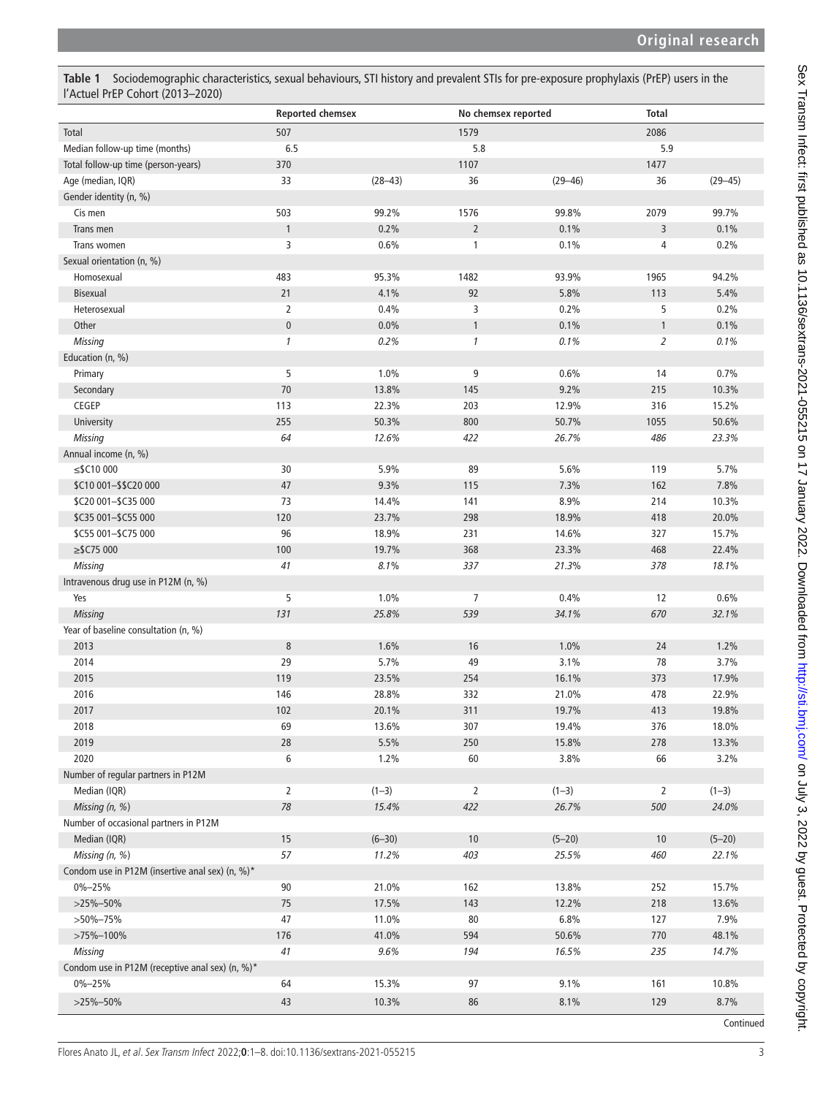<span id="page-2-0"></span>**Table 1** Sociodemographic characteristics, sexual behaviours, STI history and prevalent STIs for pre-exposure prophylaxis (PrEP) users in the l'Actuel PrEP Cohort (2013–2020)

|                                                 | <b>Reported chemsex</b> |             | No chemsex reported |             | <b>Total</b>   |             |
|-------------------------------------------------|-------------------------|-------------|---------------------|-------------|----------------|-------------|
| Total                                           | 507                     |             | 1579                |             | 2086           |             |
| Median follow-up time (months)                  | 6.5                     |             | 5.8                 |             | 5.9            |             |
| Total follow-up time (person-years)             | 370                     |             | 1107                |             | 1477           |             |
| Age (median, IQR)                               | 33                      | $(28 - 43)$ | 36                  | $(29 - 46)$ | 36             | $(29 - 45)$ |
| Gender identity (n, %)                          |                         |             |                     |             |                |             |
| Cis men                                         | 503                     | 99.2%       | 1576                | 99.8%       | 2079           | 99.7%       |
| Trans men                                       | $\mathbf{1}$            | 0.2%        | $\overline{2}$      | 0.1%        | 3              | 0.1%        |
| Trans women                                     | 3                       | 0.6%        | $\mathbf{1}$        | 0.1%        | 4              | 0.2%        |
| Sexual orientation (n, %)                       |                         |             |                     |             |                |             |
| Homosexual                                      | 483                     | 95.3%       | 1482                | 93.9%       | 1965           | 94.2%       |
| <b>Bisexual</b>                                 | 21                      | 4.1%        | 92                  | 5.8%        | 113            | 5.4%        |
| Heterosexual                                    | 2                       | 0.4%        | 3                   | 0.2%        | 5              | 0.2%        |
| Other                                           | $\pmb{0}$               | 0.0%        | $\mathbf{1}$        | 0.1%        | $\mathbf{1}$   | 0.1%        |
| <b>Missing</b>                                  | $\mathbf{1}$            | 0.2%        | $\mathbf{1}$        | 0.1%        | $\overline{2}$ | 0.1%        |
| Education (n, %)                                |                         |             |                     |             |                |             |
| Primary                                         | 5                       | 1.0%        | 9                   | 0.6%        | 14             | 0.7%        |
| Secondary                                       | 70                      | 13.8%       | 145                 | 9.2%        | 215            | 10.3%       |
| CEGEP                                           | 113                     | 22.3%       | 203                 | 12.9%       | 316            | 15.2%       |
| University                                      | 255                     | 50.3%       | 800                 | 50.7%       | 1055           | 50.6%       |
| <b>Missing</b>                                  | 64                      | 12.6%       | 422                 | 26.7%       | 486            | 23.3%       |
| Annual income (n, %)                            |                         |             |                     |             |                |             |
| $\leq$ \$C10 000                                | 30                      | 5.9%        | 89                  | 5.6%        | 119            | 5.7%        |
| \$C10 001-\$\$C20 000                           | 47                      | 9.3%        | 115                 | 7.3%        | 162            | 7.8%        |
| \$C20 001-\$C35 000                             | 73                      | 14.4%       | 141                 | 8.9%        | 214            | 10.3%       |
| \$C35 001-\$C55 000                             | 120                     | 23.7%       | 298                 | 18.9%       | 418            | 20.0%       |
| \$C55 001-\$C75 000                             | 96                      | 18.9%       | 231                 | 14.6%       | 327            | 15.7%       |
| $\geq$ \$C75 000                                | 100                     | 19.7%       | 368                 | 23.3%       | 468            | 22.4%       |
| <b>Missing</b>                                  | 41                      | 8.1%        | 337                 | 21.3%       | 378            | 18.1%       |
| Intravenous drug use in P12M (n, %)             |                         |             |                     |             |                |             |
| Yes                                             | 5                       | 1.0%        | $\overline{7}$      | 0.4%        | 12             | 0.6%        |
| <b>Missing</b>                                  | 131                     | 25.8%       | 539                 | 34.1%       | 670            | 32.1%       |
| Year of baseline consultation (n, %)            |                         |             |                     |             |                |             |
| 2013                                            | $\, 8$                  | 1.6%        | 16                  | 1.0%        | 24             | 1.2%        |
| 2014                                            | 29                      | 5.7%        | 49                  | 3.1%        | 78             | 3.7%        |
| 2015                                            | 119                     | 23.5%       | 254                 | 16.1%       | 373            | 17.9%       |
| 2016                                            | 146                     | 28.8%       | 332                 | 21.0%       | 478            | 22.9%       |
| 2017                                            | 102                     | 20.1%       | 311                 | 19.7%       | 413            | 19.8%       |
| 2018                                            | 69                      | 13.6%       | 307                 | 19.4%       | 376            | 18.0%       |
| 2019                                            | 28                      | 5.5%        | $250\,$             | 15.8%       | 278            | 13.3%       |
| 2020                                            | 6                       | 1.2%        | 60                  | 3.8%        | 66             | 3.2%        |
| Number of regular partners in P12M              |                         |             |                     |             |                |             |
| Median (IQR)                                    | $\overline{2}$          | $(1-3)$     | $\overline{2}$      | $(1-3)$     | $\overline{2}$ | $(1-3)$     |
| Missing $(n, %)$                                | $78\,$                  | 15.4%       | 422                 | 26.7%       | 500            | 24.0%       |
| Number of occasional partners in P12M           |                         |             |                     |             |                |             |
| Median (IQR)                                    | 15                      | $(6 - 30)$  | $10$                | $(5 - 20)$  | 10             | $(5 - 20)$  |
| Missing (n, %)                                  | 57                      | 11.2%       | 403                 | 25.5%       | 460            | 22.1%       |
| Condom use in P12M (insertive anal sex) (n, %)* |                         |             |                     |             |                |             |
| $0\% - 25\%$                                    | 90                      | 21.0%       | 162                 | 13.8%       | 252            | 15.7%       |
| $>25\% - 50\%$                                  | 75                      | 17.5%       | 143                 | 12.2%       | 218            | 13.6%       |
| $>50\% - 75\%$                                  | 47                      | 11.0%       | 80                  | 6.8%        | 127            | 7.9%        |
| $>75\% - 100\%$                                 | 176                     | 41.0%       | 594                 | 50.6%       | 770            | 48.1%       |
| <b>Missing</b>                                  | 41                      | 9.6%        | 194                 | 16.5%       | 235            | 14.7%       |
| Condom use in P12M (receptive anal sex) (n, %)* |                         |             |                     |             |                |             |
| $0\% - 25\%$                                    | 64                      | 15.3%       | 97                  | 9.1%        | 161            | 10.8%       |
| $>25\% - 50\%$                                  | 43                      | 10.3%       | 86                  | 8.1%        | 129            | 8.7%        |
|                                                 |                         |             |                     |             |                | Continued   |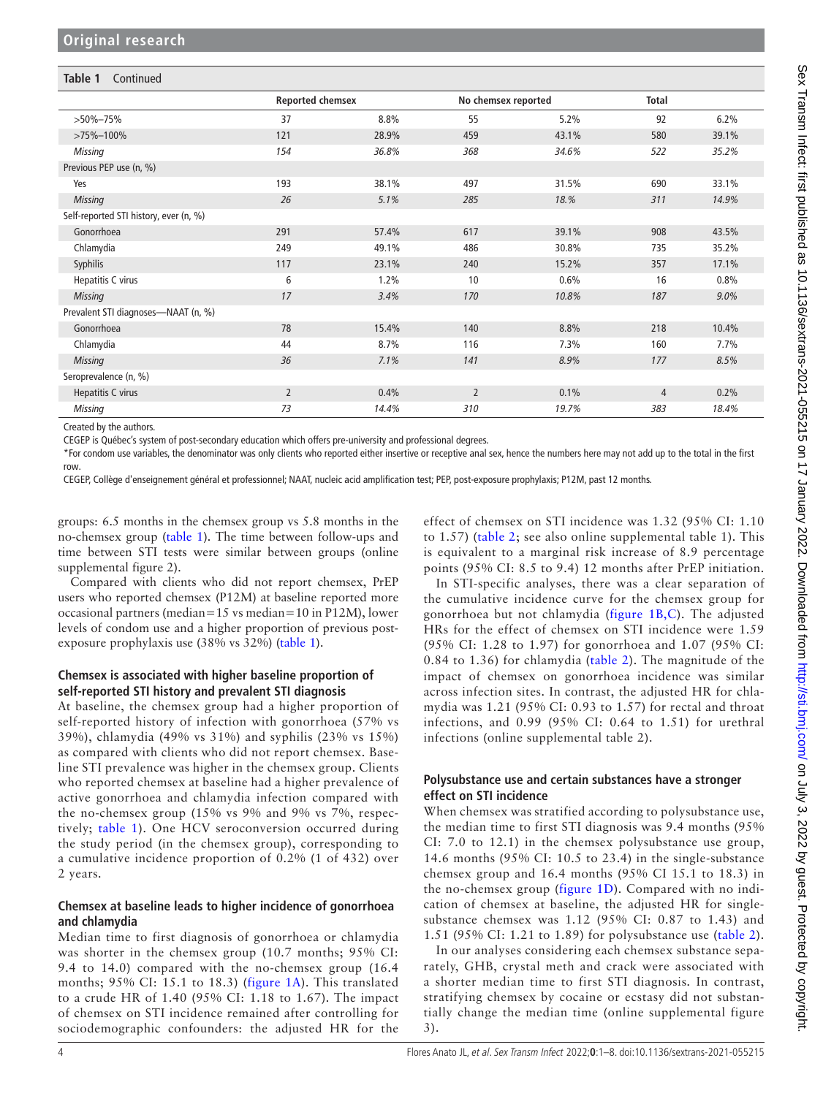### **Table 1** Continued

|                                        | <b>Reported chemsex</b> |       | No chemsex reported |       | <b>Total</b> |         |
|----------------------------------------|-------------------------|-------|---------------------|-------|--------------|---------|
| $>50\% - 75\%$                         | 37                      | 8.8%  | 55                  | 5.2%  | 92           | 6.2%    |
| $>75\% - 100\%$                        | 121                     | 28.9% | 459                 | 43.1% | 580          | 39.1%   |
| Missing                                | 154                     | 36.8% | 368                 | 34.6% | 522          | 35.2%   |
| Previous PEP use (n, %)                |                         |       |                     |       |              |         |
| Yes                                    | 193                     | 38.1% | 497                 | 31.5% | 690          | 33.1%   |
| <b>Missing</b>                         | 26                      | 5.1%  | 285                 | 18.%  | 311          | 14.9%   |
| Self-reported STI history, ever (n, %) |                         |       |                     |       |              |         |
| Gonorrhoea                             | 291                     | 57.4% | 617                 | 39.1% | 908          | 43.5%   |
| Chlamydia                              | 249                     | 49.1% | 486                 | 30.8% | 735          | 35.2%   |
| Syphilis                               | 117                     | 23.1% | 240                 | 15.2% | 357          | 17.1%   |
| Hepatitis C virus                      | 6                       | 1.2%  | 10                  | 0.6%  | 16           | 0.8%    |
| Missing                                | 17                      | 3.4%  | 170                 | 10.8% | 187          | $9.0\%$ |
| Prevalent STI diagnoses-NAAT (n, %)    |                         |       |                     |       |              |         |
| Gonorrhoea                             | 78                      | 15.4% | 140                 | 8.8%  | 218          | 10.4%   |
| Chlamydia                              | 44                      | 8.7%  | 116                 | 7.3%  | 160          | 7.7%    |
| <b>Missing</b>                         | 36                      | 7.1%  | 141                 | 8.9%  | 177          | 8.5%    |
| Seroprevalence (n, %)                  |                         |       |                     |       |              |         |
| Hepatitis C virus                      | $\overline{2}$          | 0.4%  | $\overline{2}$      | 0.1%  | 4            | 0.2%    |
| <b>Missing</b>                         | 73                      | 14.4% | 310                 | 19.7% | 383          | 18.4%   |

Created by the authors.

CEGEP is Québec's system of post-secondary education which offers pre-university and professional degrees.

\*For condom use variables, the denominator was only clients who reported either insertive or receptive anal sex, hence the numbers here may not add up to the total in the first row.

CEGEP, Collège d'enseignement général et professionnel; NAAT, nucleic acid amplification test; PEP, post-exposure prophylaxis; P12M, past 12 months.

groups: 6.5 months in the chemsex group vs 5.8 months in the no-chemsex group [\(table](#page-2-0) 1). The time between follow-ups and time between STI tests were similar between groups [\(online](https://dx.doi.org/10.1136/sextrans-2021-055215)  [supplemental figure 2\)](https://dx.doi.org/10.1136/sextrans-2021-055215).

Compared with clients who did not report chemsex, PrEP users who reported chemsex (P12M) at baseline reported more occasional partners (median=15 vs median=10 in P12M), lower levels of condom use and a higher proportion of previous postexposure prophylaxis use (38% vs 32%) ([table](#page-2-0) 1).

### **Chemsex is associated with higher baseline proportion of self-reported STI history and prevalent STI diagnosis**

At baseline, the chemsex group had a higher proportion of self-reported history of infection with gonorrhoea (57% vs 39%), chlamydia (49% vs 31%) and syphilis (23% vs 15%) as compared with clients who did not report chemsex. Baseline STI prevalence was higher in the chemsex group. Clients who reported chemsex at baseline had a higher prevalence of active gonorrhoea and chlamydia infection compared with the no-chemsex group (15% vs 9% and 9% vs 7%, respectively; [table](#page-2-0) 1). One HCV seroconversion occurred during the study period (in the chemsex group), corresponding to a cumulative incidence proportion of 0.2% (1 of 432) over 2 years.

### **Chemsex at baseline leads to higher incidence of gonorrhoea and chlamydia**

Median time to first diagnosis of gonorrhoea or chlamydia was shorter in the chemsex group (10.7 months; 95% CI: 9.4 to 14.0) compared with the no-chemsex group (16.4 months; 95% CI: 15.1 to 18.3) ([figure](#page-4-0) 1A). This translated to a crude HR of 1.40 (95% CI: 1.18 to 1.67). The impact of chemsex on STI incidence remained after controlling for sociodemographic confounders: the adjusted HR for the

effect of chemsex on STI incidence was 1.32 (95% CI: 1.10 to 1.57) ([table](#page-4-1) 2; see also [online supplemental table 1\)](https://dx.doi.org/10.1136/sextrans-2021-055215). This is equivalent to a marginal risk increase of 8.9 percentage points (95% CI: 8.5 to 9.4) 12 months after PrEP initiation.

In STI-specific analyses, there was a clear separation of the cumulative incidence curve for the chemsex group for gonorrhoea but not chlamydia [\(figure](#page-4-0) 1B,C). The adjusted HRs for the effect of chemsex on STI incidence were 1.59 (95% CI: 1.28 to 1.97) for gonorrhoea and 1.07 (95% CI: 0.84 to 1.36) for chlamydia [\(table](#page-4-1) 2). The magnitude of the impact of chemsex on gonorrhoea incidence was similar across infection sites. In contrast, the adjusted HR for chlamydia was 1.21 (95% CI: 0.93 to 1.57) for rectal and throat infections, and 0.99 (95% CI: 0.64 to 1.51) for urethral infections ([online supplemental table 2\)](https://dx.doi.org/10.1136/sextrans-2021-055215).

### **Polysubstance use and certain substances have a stronger effect on STI incidence**

When chemsex was stratified according to polysubstance use, the median time to first STI diagnosis was 9.4 months (95% CI: 7.0 to 12.1) in the chemsex polysubstance use group, 14.6 months (95% CI: 10.5 to 23.4) in the single-substance chemsex group and 16.4 months (95% CI 15.1 to 18.3) in the no-chemsex group ([figure](#page-4-0) 1D). Compared with no indication of chemsex at baseline, the adjusted HR for singlesubstance chemsex was 1.12 (95% CI: 0.87 to 1.43) and 1.51 (95% CI: 1.21 to 1.89) for polysubstance use ([table](#page-4-1) 2).

In our analyses considering each chemsex substance separately, GHB, crystal meth and crack were associated with a shorter median time to first STI diagnosis. In contrast, stratifying chemsex by cocaine or ecstasy did not substantially change the median time ([online supplemental figure](https://dx.doi.org/10.1136/sextrans-2021-055215) [3](https://dx.doi.org/10.1136/sextrans-2021-055215)).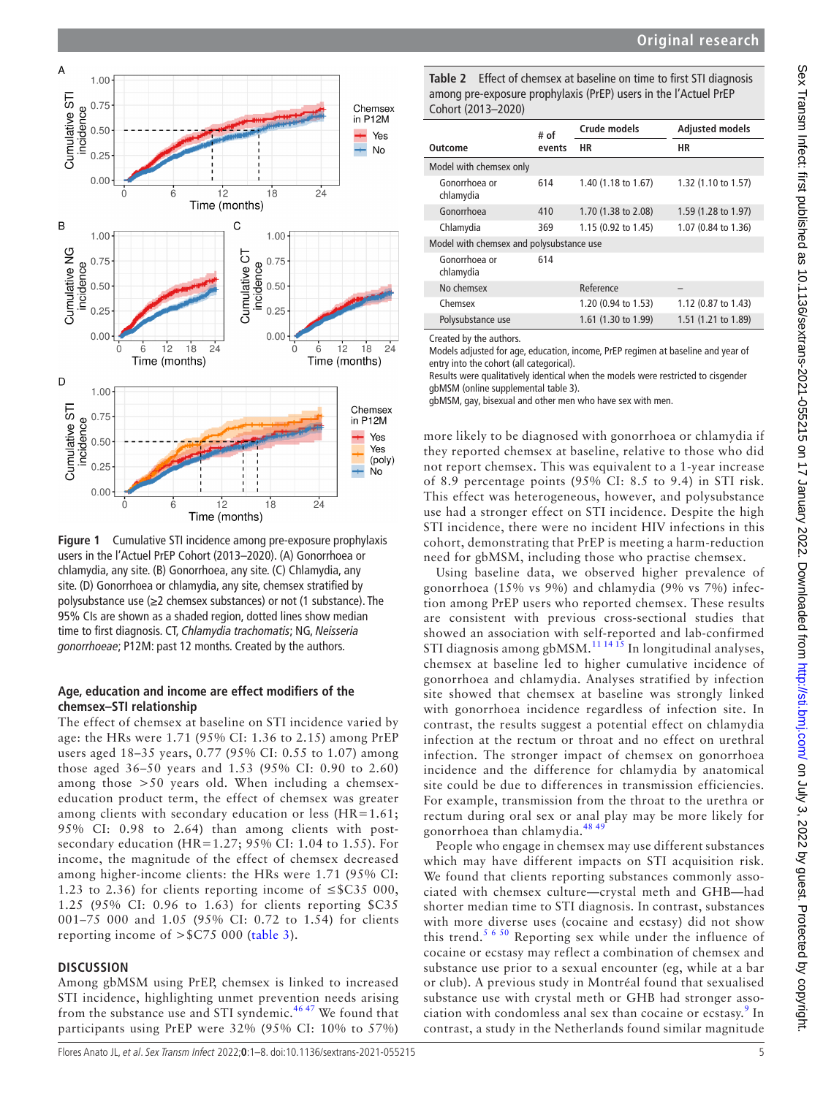

<span id="page-4-0"></span>**Figure 1** Cumulative STI incidence among pre-exposure prophylaxis users in the l'Actuel PrEP Cohort (2013–2020). (A) Gonorrhoea or chlamydia, any site. (B) Gonorrhoea, any site. (C) Chlamydia, any site. (D) Gonorrhoea or chlamydia, any site, chemsex stratified by polysubstance use (≥2 chemsex substances) or not (1 substance). The 95% CIs are shown as a shaded region, dotted lines show median time to first diagnosis. CT, *Chlamydia trachomatis*; NG, *Neisseria gonorrhoeae*; P12M: past 12 months. Created by the authors.

### **Age, education and income are effect modifiers of the chemsex–STI relationship**

The effect of chemsex at baseline on STI incidence varied by age: the HRs were 1.71 (95% CI: 1.36 to 2.15) among PrEP users aged 18–35 years, 0.77 (95% CI: 0.55 to 1.07) among those aged 36–50 years and 1.53 (95% CI: 0.90 to 2.60) among those >50 years old. When including a chemsexeducation product term, the effect of chemsex was greater among clients with secondary education or less (HR=1.61; 95% CI: 0.98 to 2.64) than among clients with postsecondary education (HR=1.27;  $95\%$  CI: 1.04 to 1.55). For income, the magnitude of the effect of chemsex decreased among higher-income clients: the HRs were 1.71 (95% CI: 1.23 to 2.36) for clients reporting income of  $\leq$ \$C35 000, 1.25 (95% CI: 0.96 to 1.63) for clients reporting \$C35 001–75 000 and 1.05 (95% CI: 0.72 to 1.54) for clients reporting income of >\$C75 000 ([table](#page-5-0) 3).

### **DISCUSSION**

Among gbMSM using PrEP, chemsex is linked to increased STI incidence, highlighting unmet prevention needs arising from the substance use and STI syndemic.<sup>[46 47](#page-7-7)</sup> We found that participants using PrEP were 32% (95% CI: 10% to 57%)

<span id="page-4-1"></span>**Table 2** Effect of chemsex at baseline on time to first STI diagnosis among pre-exposure prophylaxis (PrEP) users in the l'Actuel PrEP Cohort (2013–2020)

|                                          | # of   | Crude models        | <b>Adjusted models</b> |  |
|------------------------------------------|--------|---------------------|------------------------|--|
| Outcome                                  | events | НR                  | НR                     |  |
| Model with chemsex only                  |        |                     |                        |  |
| Gonorrhoea or<br>chlamydia               | 614    | 1.40 (1.18 to 1.67) | 1.32 (1.10 to 1.57)    |  |
| Gonorrhoea                               | 410    | 1.70 (1.38 to 2.08) | 1.59 (1.28 to 1.97)    |  |
| Chlamydia                                | 369    | 1.15 (0.92 to 1.45) | 1.07 (0.84 to 1.36)    |  |
| Model with chemsex and polysubstance use |        |                     |                        |  |
| Gonorrhoea or<br>chlamydia               | 614    |                     |                        |  |
| No chemsex                               |        | Reference           |                        |  |
| Chemsex                                  |        | 1.20 (0.94 to 1.53) | 1.12 (0.87 to 1.43)    |  |
| Polysubstance use                        |        | 1.61 (1.30 to 1.99) | 1.51 (1.21 to 1.89)    |  |

Created by the authors.

Models adjusted for age, education, income, PrEP regimen at baseline and year of entry into the cohort (all categorical).

Results were qualitatively identical when the models were restricted to cisgender gbMSM ([online supplemental table 3\)](https://dx.doi.org/10.1136/sextrans-2021-055215).

gbMSM, gay, bisexual and other men who have sex with men.

more likely to be diagnosed with gonorrhoea or chlamydia if they reported chemsex at baseline, relative to those who did not report chemsex. This was equivalent to a 1-year increase of 8.9 percentage points (95% CI: 8.5 to 9.4) in STI risk. This effect was heterogeneous, however, and polysubstance use had a stronger effect on STI incidence. Despite the high STI incidence, there were no incident HIV infections in this cohort, demonstrating that PrEP is meeting a harm-reduction need for gbMSM, including those who practise chemsex.

Using baseline data, we observed higher prevalence of gonorrhoea (15% vs 9%) and chlamydia (9% vs 7%) infection among PrEP users who reported chemsex. These results are consistent with previous cross-sectional studies that showed an association with self-reported and lab-confirmed STI diagnosis among gbMSM.<sup>[11 14 15](#page-6-14)</sup> In longitudinal analyses, chemsex at baseline led to higher cumulative incidence of gonorrhoea and chlamydia. Analyses stratified by infection site showed that chemsex at baseline was strongly linked with gonorrhoea incidence regardless of infection site. In contrast, the results suggest a potential effect on chlamydia infection at the rectum or throat and no effect on urethral infection. The stronger impact of chemsex on gonorrhoea incidence and the difference for chlamydia by anatomical site could be due to differences in transmission efficiencies. For example, transmission from the throat to the urethra or rectum during oral sex or anal play may be more likely for gonorrhoea than chlamydia.<sup>[48 49](#page-7-8)</sup>

People who engage in chemsex may use different substances which may have different impacts on STI acquisition risk. We found that clients reporting substances commonly associated with chemsex culture—crystal meth and GHB—had shorter median time to STI diagnosis. In contrast, substances with more diverse uses (cocaine and ecstasy) did not show this trend.<sup>5 6 50</sup> Reporting sex while under the influence of cocaine or ecstasy may reflect a combination of chemsex and substance use prior to a sexual encounter (eg, while at a bar or club). A previous study in Montréal found that sexualised substance use with crystal meth or GHB had stronger asso-ciation with condomless anal sex than cocaine or ecstasy.<sup>[9](#page-6-5)</sup> In contrast, a study in the Netherlands found similar magnitude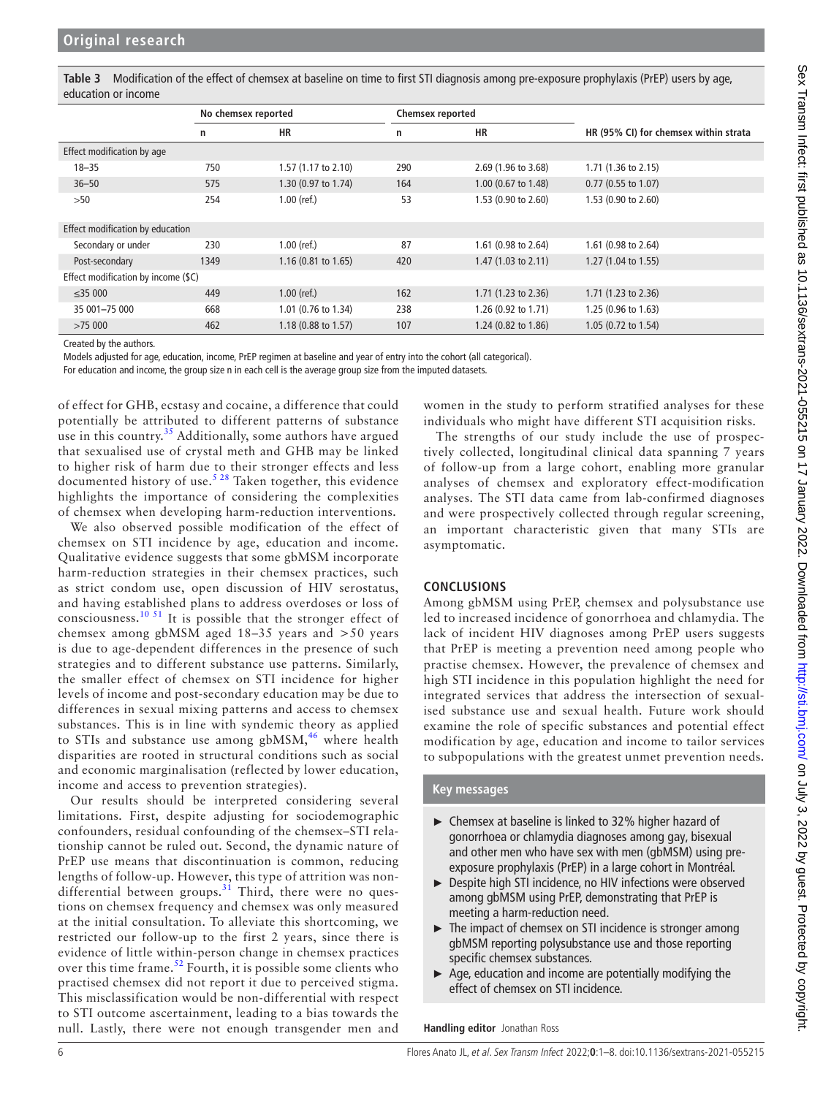<span id="page-5-0"></span>**Table 3** Modification of the effect of chemsex at baseline on time to first STI diagnosis among pre-exposure prophylaxis (PrEP) users by age, education or income

|                                     |      | No chemsex reported |     | <b>Chemsex reported</b>        |                                       |  |
|-------------------------------------|------|---------------------|-----|--------------------------------|---------------------------------------|--|
|                                     | n    | HR                  | n   | НR                             | HR (95% CI) for chemsex within strata |  |
| Effect modification by age          |      |                     |     |                                |                                       |  |
| $18 - 35$                           | 750  | 1.57 (1.17 to 2.10) | 290 | 2.69 (1.96 to 3.68)            | 1.71 (1.36 to 2.15)                   |  |
| $36 - 50$                           | 575  | 1.30 (0.97 to 1.74) | 164 | 1.00 (0.67 to 1.48)            | $0.77$ (0.55 to 1.07)                 |  |
| >50                                 | 254  | $1.00$ (ref.)       | 53  | 1.53 (0.90 to 2.60)            | 1.53 (0.90 to 2.60)                   |  |
| Effect modification by education    |      |                     |     |                                |                                       |  |
| Secondary or under                  | 230  | $1.00$ (ref.)       | 87  | 1.61 (0.98 to 2.64)            | 1.61 (0.98 to 2.64)                   |  |
| Post-secondary                      | 1349 | 1.16 (0.81 to 1.65) | 420 | 1.47 $(1.03 \text{ to } 2.11)$ | 1.27 (1.04 to 1.55)                   |  |
| Effect modification by income (\$C) |      |                     |     |                                |                                       |  |
| ≤35 000                             | 449  | $1.00$ (ref.)       | 162 | 1.71 $(1.23$ to 2.36)          | 1.71 (1.23 to 2.36)                   |  |
| 35 001-75 000                       | 668  | 1.01 (0.76 to 1.34) | 238 | $1.26(0.92 \text{ to } 1.71)$  | 1.25 (0.96 to 1.63)                   |  |
| >75,000                             | 462  | 1.18 (0.88 to 1.57) | 107 | 1.24 (0.82 to 1.86)            | 1.05 (0.72 to 1.54)                   |  |

Created by the authors.

Models adjusted for age, education, income, PrEP regimen at baseline and year of entry into the cohort (all categorical).

For education and income, the group size n in each cell is the average group size from the imputed datasets.

of effect for GHB, ecstasy and cocaine, a difference that could potentially be attributed to different patterns of substance use in this country.<sup>35</sup> Additionally, some authors have argued that sexualised use of crystal meth and GHB may be linked to higher risk of harm due to their stronger effects and less documented history of use.<sup>[5 28](#page-6-3)</sup> Taken together, this evidence highlights the importance of considering the complexities of chemsex when developing harm-reduction interventions.

We also observed possible modification of the effect of chemsex on STI incidence by age, education and income. Qualitative evidence suggests that some gbMSM incorporate harm-reduction strategies in their chemsex practices, such as strict condom use, open discussion of HIV serostatus, and having established plans to address overdoses or loss of consciousness.<sup>10 51</sup> It is possible that the stronger effect of chemsex among gbMSM aged 18–35 years and >50 years is due to age-dependent differences in the presence of such strategies and to different substance use patterns. Similarly, the smaller effect of chemsex on STI incidence for higher levels of income and post-secondary education may be due to differences in sexual mixing patterns and access to chemsex substances. This is in line with syndemic theory as applied to STIs and substance use among  $gbMSM<sub>1</sub><sup>46</sup>$  $gbMSM<sub>1</sub><sup>46</sup>$  $gbMSM<sub>1</sub><sup>46</sup>$  where health disparities are rooted in structural conditions such as social and economic marginalisation (reflected by lower education, income and access to prevention strategies).

Our results should be interpreted considering several limitations. First, despite adjusting for sociodemographic confounders, residual confounding of the chemsex–STI relationship cannot be ruled out. Second, the dynamic nature of PrEP use means that discontinuation is common, reducing lengths of follow-up. However, this type of attrition was nondifferential between groups. $31$  Third, there were no questions on chemsex frequency and chemsex was only measured at the initial consultation. To alleviate this shortcoming, we restricted our follow-up to the first 2 years, since there is evidence of little within-person change in chemsex practices over this time frame. $52$  Fourth, it is possible some clients who practised chemsex did not report it due to perceived stigma. This misclassification would be non-differential with respect to STI outcome ascertainment, leading to a bias towards the null. Lastly, there were not enough transgender men and

women in the study to perform stratified analyses for these individuals who might have different STI acquisition risks.

The strengths of our study include the use of prospectively collected, longitudinal clinical data spanning 7 years of follow-up from a large cohort, enabling more granular analyses of chemsex and exploratory effect-modification analyses. The STI data came from lab-confirmed diagnoses and were prospectively collected through regular screening, an important characteristic given that many STIs are asymptomatic.

### **CONCLUSIONS**

Among gbMSM using PrEP, chemsex and polysubstance use led to increased incidence of gonorrhoea and chlamydia. The lack of incident HIV diagnoses among PrEP users suggests that PrEP is meeting a prevention need among people who practise chemsex. However, the prevalence of chemsex and high STI incidence in this population highlight the need for integrated services that address the intersection of sexualised substance use and sexual health. Future work should examine the role of specific substances and potential effect modification by age, education and income to tailor services to subpopulations with the greatest unmet prevention needs.

### **Key messages**

- ► Chemsex at baseline is linked to 32% higher hazard of gonorrhoea or chlamydia diagnoses among gay, bisexual and other men who have sex with men (gbMSM) using preexposure prophylaxis (PrEP) in a large cohort in Montréal.
- ► Despite high STI incidence, no HIV infections were observed among gbMSM using PrEP, demonstrating that PrEP is meeting a harm-reduction need.
- ► The impact of chemsex on STI incidence is stronger among gbMSM reporting polysubstance use and those reporting specific chemsex substances.
- ► Age, education and income are potentially modifying the effect of chemsex on STI incidence.

**Handling editor** Jonathan Ross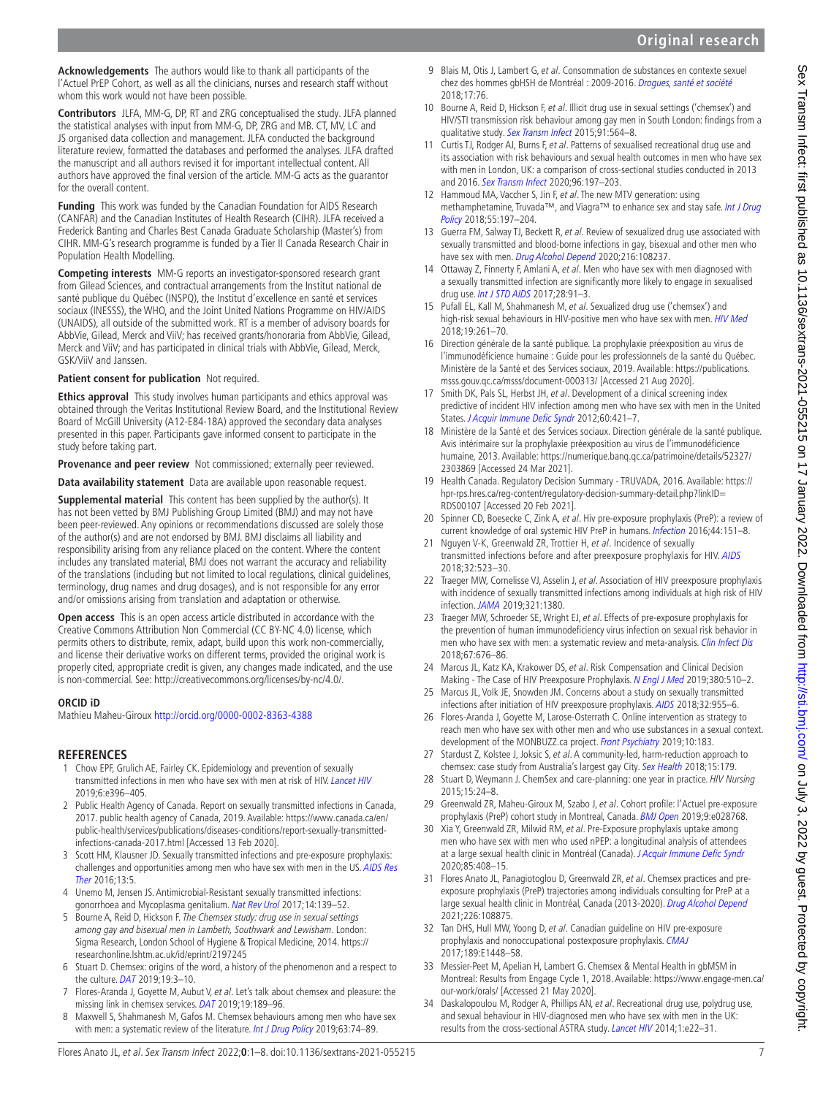**Acknowledgements** The authors would like to thank all participants of the l'Actuel PrEP Cohort, as well as all the clinicians, nurses and research staff without whom this work would not have been possible.

**Contributors** JLFA, MM-G, DP, RT and ZRG conceptualised the study. JLFA planned the statistical analyses with input from MM-G, DP, ZRG and MB. CT, MV, LC and JS organised data collection and management. JLFA conducted the background literature review, formatted the databases and performed the analyses. JLFA drafted the manuscript and all authors revised it for important intellectual content. All authors have approved the final version of the article. MM-G acts as the guarantor for the overall content.

**Funding** This work was funded by the Canadian Foundation for AIDS Research (CANFAR) and the Canadian Institutes of Health Research (CIHR). JLFA received a Frederick Banting and Charles Best Canada Graduate Scholarship (Master's) from CIHR. MM-G's research programme is funded by a Tier II Canada Research Chair in Population Health Modelling.

**Competing interests** MM-G reports an investigator-sponsored research grant from Gilead Sciences, and contractual arrangements from the Institut national de santé publique du Québec (INSPQ), the Institut d'excellence en santé et services sociaux (INESSS), the WHO, and the Joint United Nations Programme on HIV/AIDS (UNAIDS), all outside of the submitted work. RT is a member of advisory boards for AbbVie, Gilead, Merck and ViiV; has received grants/honoraria from AbbVie, Gilead, Merck and ViiV; and has participated in clinical trials with AbbVie, Gilead, Merck, GSK/ViiV and Janssen.

### **Patient consent for publication** Not required.

**Ethics approval** This study involves human participants and ethics approval was obtained through the Veritas Institutional Review Board, and the Institutional Review Board of McGill University (A12-E84-18A) approved the secondary data analyses presented in this paper. Participants gave informed consent to participate in the study before taking part.

**Provenance and peer review** Not commissioned; externally peer reviewed.

**Data availability statement** Data are available upon reasonable request.

**Supplemental material** This content has been supplied by the author(s). It has not been vetted by BMJ Publishing Group Limited (BMJ) and may not have been peer-reviewed. Any opinions or recommendations discussed are solely those of the author(s) and are not endorsed by BMJ. BMJ disclaims all liability and responsibility arising from any reliance placed on the content. Where the content includes any translated material, BMJ does not warrant the accuracy and reliability of the translations (including but not limited to local regulations, clinical guidelines, terminology, drug names and drug dosages), and is not responsible for any error and/or omissions arising from translation and adaptation or otherwise.

**Open access** This is an open access article distributed in accordance with the Creative Commons Attribution Non Commercial (CC BY-NC 4.0) license, which permits others to distribute, remix, adapt, build upon this work non-commercially, and license their derivative works on different terms, provided the original work is properly cited, appropriate credit is given, any changes made indicated, and the use is non-commercial. See: <http://creativecommons.org/licenses/by-nc/4.0/>.

### **ORCID iD**

Mathieu Maheu-Giroux <http://orcid.org/0000-0002-8363-4388>

### **REFERENCES**

- <span id="page-6-0"></span>1 Chow EPF, Grulich AE, Fairley CK. Epidemiology and prevention of sexually transmitted infections in men who have sex with men at risk of HIV. [Lancet HIV](http://dx.doi.org/10.1016/S2352-3018(19)30043-8) 2019;6:e396–405.
- <span id="page-6-1"></span>2 Public Health Agency of Canada. Report on sexually transmitted infections in Canada, 2017. public health agency of Canada, 2019. Available: [https://www.canada.ca/en/](https://www.canada.ca/en/public-health/services/publications/diseases-conditions/report-sexually-transmitted-infections-canada-2017.html) [public-health/services/publications/diseases-conditions/report-sexually-transmitted](https://www.canada.ca/en/public-health/services/publications/diseases-conditions/report-sexually-transmitted-infections-canada-2017.html)[infections-canada-2017.html](https://www.canada.ca/en/public-health/services/publications/diseases-conditions/report-sexually-transmitted-infections-canada-2017.html) [Accessed 13 Feb 2020].
- <span id="page-6-2"></span>3 Scott HM, Klausner JD. Sexually transmitted infections and pre-exposure prophylaxis: challenges and opportunities among men who have sex with men in the US. AIDS Res [Ther](http://dx.doi.org/10.1186/s12981-016-0089-8) 2016;13:5.
- 4 Unemo M, Jensen JS. Antimicrobial-Resistant sexually transmitted infections: gonorrhoea and Mycoplasma genitalium. [Nat Rev Urol](http://dx.doi.org/10.1038/nrurol.2016.268) 2017;14:139-52.
- <span id="page-6-3"></span>5 Bourne A, Reid D, Hickson F. The Chemsex study: drug use in sexual settings among gay and bisexual men in Lambeth, Southwark and Lewisham. London: Sigma Research, London School of Hygiene & Tropical Medicine, 2014. [https://](https://researchonline.lshtm.ac.uk/id/eprint/2197245) [researchonline.lshtm.ac.uk/id/eprint/2197245](https://researchonline.lshtm.ac.uk/id/eprint/2197245)
- 6 Stuart D. Chemsex: origins of the word, a history of the phenomenon and a respect to the culture. [DAT](http://dx.doi.org/10.1108/DAT-10-2018-0058) 2019;19:3–10.
- <span id="page-6-4"></span>7 Flores-Aranda J, Goyette M, Aubut V, et al. Let's talk about chemsex and pleasure: the missing link in chemsex services. [DAT](http://dx.doi.org/10.1108/DAT-10-2018-0045) 2019;19:189–96.
- 8 Maxwell S, Shahmanesh M, Gafos M. Chemsex behaviours among men who have sex with men: a systematic review of the literature. [Int J Drug Policy](http://dx.doi.org/10.1016/j.drugpo.2018.11.014) 2019;63:74-89.
- <span id="page-6-5"></span>9 Blais M, Otis J, Lambert G, et al. Consommation de substances en contexte sexuel chez des hommes gbHSH de Montréal : 2009-2016. [Drogues, santé et société](http://dx.doi.org/10.7202/1062117ar) 2018;17:76.
- <span id="page-6-15"></span>10 Bourne A, Reid D, Hickson F, et al. Illicit drug use in sexual settings ('chemsex') and HIV/STI transmission risk behaviour among gay men in South London: findings from a qualitative study. [Sex Transm Infect](http://dx.doi.org/10.1136/sextrans-2015-052052) 2015;91:564-8.
- <span id="page-6-14"></span>11 Curtis TJ, Rodger AJ, Burns F, et al. Patterns of sexualised recreational drug use and its association with risk behaviours and sexual health outcomes in men who have sex with men in London, UK: a comparison of cross-sectional studies conducted in 2013 and 2016. [Sex Transm Infect](http://dx.doi.org/10.1136/sextrans-2019-054139) 2020;96:197–203.
- 12 Hammoud MA, Vaccher S, Jin F, et al. The new MTV generation: using methamphetamine, Truvada™, and Viagra™ to enhance sex and stay safe. Int J Drug [Policy](http://dx.doi.org/10.1016/j.drugpo.2018.02.021) 2018;55:197–204.
- <span id="page-6-6"></span>13 Guerra FM, Salway TJ, Beckett R, et al. Review of sexualized drug use associated with sexually transmitted and blood-borne infections in gay, bisexual and other men who have sex with men. [Drug Alcohol Depend](http://dx.doi.org/10.1016/j.drugalcdep.2020.108237) 2020;216:108237.
- 14 Ottaway Z, Finnerty F, Amlani A, et al. Men who have sex with men diagnosed with a sexually transmitted infection are significantly more likely to engage in sexualised drug use. [Int J STD AIDS](http://dx.doi.org/10.1177/0956462416666753) 2017;28:91-3.
- 15 Pufall EL, Kall M, Shahmanesh M, et al. Sexualized drug use ('chemsex') and high-risk sexual behaviours in HIV-positive men who have sex with men. [HIV Med](http://dx.doi.org/10.1111/hiv.12574) 2018;19:261–70.
- <span id="page-6-7"></span>16 Direction générale de la santé publique. La prophylaxie préexposition au virus de l'immunodéficience humaine : Guide pour les professionnels de la santé du Québec. Ministère de la Santé et des Services sociaux, 2019. Available: [https://publications.](https://publications.msss.gouv.qc.ca/msss/document-000313/) [msss.gouv.qc.ca/msss/document-000313/](https://publications.msss.gouv.qc.ca/msss/document-000313/) [Accessed 21 Aug 2020].
- 17 Smith DK, Pals SL, Herbst JH, et al. Development of a clinical screening index predictive of incident HIV infection among men who have sex with men in the United States. [J Acquir Immune Defic Syndr](http://dx.doi.org/10.1097/QAI.0b013e318256b2f6) 2012;60:421-7.
- 18 Ministère de la Santé et des Services sociaux. Direction générale de la santé publique. Avis intérimaire sur la prophylaxie préexposition au virus de l'immunodéficience humaine, 2013. Available: [https://numerique.banq.qc.ca/patrimoine/details/52327/](https://numerique.banq.qc.ca/patrimoine/details/52327/2303869) [2303869](https://numerique.banq.qc.ca/patrimoine/details/52327/2303869) [Accessed 24 Mar 2021].
- 19 Health Canada. Regulatory Decision Summary TRUVADA, 2016. Available: [https://](https://hpr-rps.hres.ca/reg-content/regulatory-decision-summary-detail.php?linkID=RDS00107) [hpr-rps.hres.ca/reg-content/regulatory-decision-summary-detail.php?linkID=](https://hpr-rps.hres.ca/reg-content/regulatory-decision-summary-detail.php?linkID=RDS00107) [RDS00107](https://hpr-rps.hres.ca/reg-content/regulatory-decision-summary-detail.php?linkID=RDS00107) [Accessed 20 Feb 2021].
- 20 Spinner CD, Boesecke C, Zink A, et al. Hiv pre-exposure prophylaxis (PreP): a review of current knowledge of oral systemic HIV PreP in humans. [Infection](http://dx.doi.org/10.1007/s15010-015-0850-2) 2016;44:151–8.
- <span id="page-6-8"></span>21 Nguyen V-K, Greenwald ZR, Trottier H, et al. Incidence of sexually transmitted infections before and after preexposure prophylaxis for HIV. [AIDS](http://dx.doi.org/10.1097/QAD.0000000000001718) 2018;32:523–30.
- 22 Traeger MW, Cornelisse VJ, Asselin J, et al. Association of HIV preexposure prophylaxis with incidence of sexually transmitted infections among individuals at high risk of HIV infection. [JAMA](http://dx.doi.org/10.1001/jama.2019.2947) 2019;321:1380.
- 23 Traeger MW, Schroeder SE, Wright EJ, et al. Effects of pre-exposure prophylaxis for the prevention of human immunodeficiency virus infection on sexual risk behavior in men who have sex with men: a systematic review and meta-analysis. [Clin Infect Dis](http://dx.doi.org/10.1093/cid/ciy182) 2018;67:676–86.
- <span id="page-6-9"></span>24 Marcus JL, Katz KA, Krakower DS, et al. Risk Compensation and Clinical Decision Making - The Case of HIV Preexposure Prophylaxis. [N Engl J Med](http://dx.doi.org/10.1056/NEJMp1810743) 2019;380:510-2.
- 25 Marcus JL, Volk JE, Snowden JM. Concerns about a study on sexually transmitted infections after initiation of HIV preexposure prophylaxis. [AIDS](http://dx.doi.org/10.1097/QAD.0000000000001769) 2018;32:955–6.
- <span id="page-6-10"></span>26 Flores-Aranda J, Goyette M, Larose-Osterrath C. Online intervention as strategy to reach men who have sex with other men and who use substances in a sexual context. development of the MONBUZZ.ca project. [Front Psychiatry](http://dx.doi.org/10.3389/fpsyt.2019.00183) 2019;10:183.
- 27 Stardust Z, Kolstee J, Joksic S, et al. A community-led, harm-reduction approach to chemsex: case study from Australia's largest gay City. [Sex Health](http://dx.doi.org/10.1071/SH17145) 2018;15:179.
- 28 Stuart D, Weymann J. ChemSex and care-planning: one year in practice. HIV Nursing 2015;15:24–8.
- <span id="page-6-11"></span>29 Greenwald ZR, Maheu-Giroux M, Szabo J, et al. Cohort profile: l'Actuel pre-exposure prophylaxis (PreP) cohort study in Montreal, Canada. [BMJ Open](http://dx.doi.org/10.1136/bmjopen-2018-028768) 2019;9:e028768.
- 30 Xia Y, Greenwald ZR, Milwid RM, et al. Pre-Exposure prophylaxis uptake among men who have sex with men who used nPEP: a longitudinal analysis of attendees at a large sexual health clinic in Montréal (Canada). [J Acquir Immune Defic Syndr](http://dx.doi.org/10.1097/QAI.0000000000002472) 2020;85:408–15.
- <span id="page-6-16"></span>31 Flores Anato JL, Panagiotoglou D, Greenwald ZR, et al. Chemsex practices and preexposure prophylaxis (PreP) trajectories among individuals consulting for PreP at a large sexual health clinic in Montréal, Canada (2013-2020). [Drug Alcohol Depend](http://dx.doi.org/10.1016/j.drugalcdep.2021.108875) 2021;226:108875.
- <span id="page-6-12"></span>32 Tan DHS, Hull MW, Yoong D, et al. Canadian guideline on HIV pre-exposure prophylaxis and nonoccupational postexposure prophylaxis. [CMAJ](http://dx.doi.org/10.1503/cmaj.170494) 2017;189:E1448–58.
- 33 Messier-Peet M, Apelian H, Lambert G. Chemsex & Mental Health in gbMSM in Montreal: Results from Engage Cycle 1, 2018. Available: [https://www.engage-men.ca/](https://www.engage-men.ca/our-work/orals/) [our-work/orals/](https://www.engage-men.ca/our-work/orals/) [Accessed 21 May 2020].
- <span id="page-6-13"></span>34 Daskalopoulou M, Rodger A, Phillips AN, et al. Recreational drug use, polydrug use, and sexual behaviour in HIV-diagnosed men who have sex with men in the UK: results from the cross-sectional ASTRA study. [Lancet HIV](http://dx.doi.org/10.1016/S2352-3018(14)70001-3) 2014;1:e22-31.